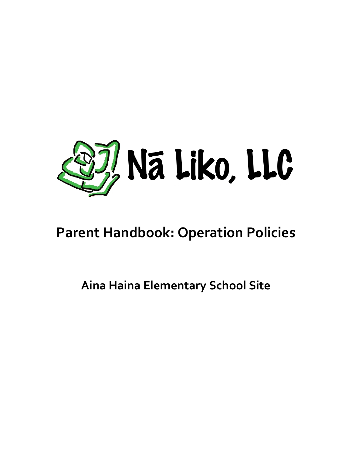

# **Parent Handbook: Operation Policies**

**Aina Haina Elementary School Site**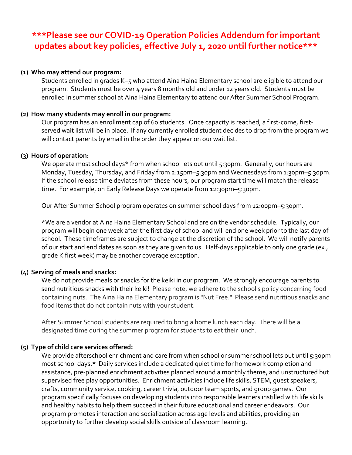# **\*\*\*Please see our COVID-19 Operation Policies Addendum for important updates about key policies, effective July 1, 2020 until further notice\*\*\***

## **(1) Who may attend our program:**

Students enrolled in grades K–5 who attend Aina Haina Elementary school are eligible to attend our program. Students must be over 4 years 8 months old and under 12 years old. Students must be enrolled in summer school at Aina Haina Elementary to attend our After Summer School Program.

## **(2) How many students may enroll in our program:**

Our program has an enrollment cap of 60 students. Once capacity is reached, a first-come, firstserved wait list will be in place. If any currently enrolled student decides to drop from the program we will contact parents by email in the order they appear on our wait list.

## **(3) Hours of operation:**

We operate most school days\* from when school lets out until 5:30pm. Generally, our hours are Monday, Tuesday, Thursday, and Friday from 2:15pm–5:30pm and Wednesdays from 1:30pm–5:30pm. If the school release time deviates from these hours, our program start time will match the release time. For example, on Early Release Days we operate from 12:30pm–5:30pm.

Our After Summer School program operates on summer school days from 12:00pm–5:30pm.

\*We are a vendor at Aina Haina Elementary School and are on the vendor schedule. Typically, our program will begin one week after the first day of school and will end one week prior to the last day of school. These timeframes are subject to change at the discretion of the school. We will notify parents of our start and end dates as soon as they are given to us. Half-days applicable to only one grade (ex., grade K first week) may be another coverage exception.

# **(4) Serving of meals and snacks:**

We do not provide meals or snacks for the keiki in our program. We strongly encourage parents to send nutritious snacks with their keiki! Please note, we adhere to the school's policy concerning food containing nuts. The Aina Haina Elementary program is "Nut Free." Please send nutritious snacks and food items that do not contain nuts with your student.

After Summer School students are required to bring a home lunch each day. There will be a designated time during the summer program for students to eat their lunch.

# **(5) Type of child care services offered:**

We provide afterschool enrichment and care from when school or summer school lets out until 5:30pm most school days.\* Daily services include a dedicated quiet time for homework completion and assistance, pre-planned enrichment activities planned around a monthly theme, and unstructured but supervised free play opportunities. Enrichment activities include life skills, STEM, guest speakers, crafts, community service, cooking, career trivia, outdoor team sports, and group games. Our program specifically focuses on developing students into responsible learners instilled with life skills and healthy habits to help them succeed in their future educational and career endeavors. Our program promotes interaction and socialization across age levels and abilities, providing an opportunity to further develop social skills outside of classroom learning.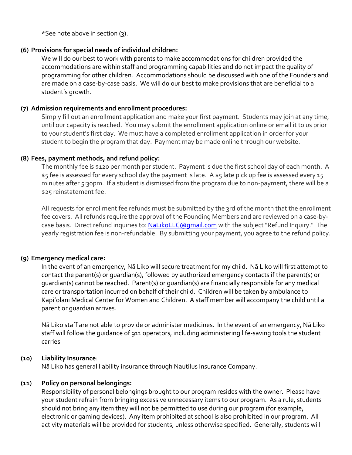\*See note above in section (3).

# **(6) Provisions for special needs of individual children:**

We will do our best to work with parents to make accommodations for children provided the accommodations are within staff and programming capabilities and do not impact the quality of programming for other children. Accommodations should be discussed with one of the Founders and are made on a case-by-case basis. We will do our best to make provisions that are beneficial to a student's growth.

# **(7) Admission requirements and enrollment procedures:**

Simply fill out an enrollment application and make your first payment. Students may join at any time, until our capacity is reached. You may submit the enrollment application online or email it to us prior to your student's first day. We must have a completed enrollment application in order for your student to begin the program that day. Payment may be made online through our website.

# **(8) Fees, payment methods, and refund policy:**

The monthly fee is \$120 per month per student. Payment is due the first school day of each month. A \$5 fee is assessed for every school day the payment is late. A \$5 late pick up fee is assessed every 15 minutes after 5:30pm. If a student is dismissed from the program due to non-payment, there will be a \$25 reinstatement fee.

All requests for enrollment fee refunds must be submitted by the 3rd of the month that the enrollment fee covers. All refunds require the approval of the Founding Members and are reviewed on a case-bycase basis. Direct refund inquiries to: NaLikoLLC@qmail.com with the subject "Refund Inquiry." The yearly registration fee is non-refundable. By submitting your payment, you agree to the refund policy.

# **(9) Emergency medical care:**

In the event of an emergency, Nā Liko will secure treatment for my child. Nā Liko will first attempt to contact the parent(s) or guardian(s), followed by authorized emergency contacts if the parent(s) or guardian(s) cannot be reached. Parent(s) or guardian(s) are financially responsible for any medical care or transportation incurred on behalf of their child. Children will be taken by ambulance to Kapiʻolani Medical Center for Women and Children. A staff member will accompany the child until a parent or guardian arrives.

Nā Liko staff are not able to provide or administer medicines. In the event of an emergency, Nā Liko staff will follow the guidance of 911 operators, including administering life-saving tools the student carries

# **(10) Liability Insurance**:

Nā Liko has general liability insurance through Nautilus Insurance Company.

# **(11) Policy on personal belongings:**

Responsibility of personal belongings brought to our program resides with the owner. Please have your student refrain from bringing excessive unnecessary items to our program. As a rule, students should not bring any item they will not be permitted to use during our program (for example, electronic or gaming devices). Any item prohibited at school is also prohibited in our program. All activity materials will be provided for students, unless otherwise specified. Generally, students will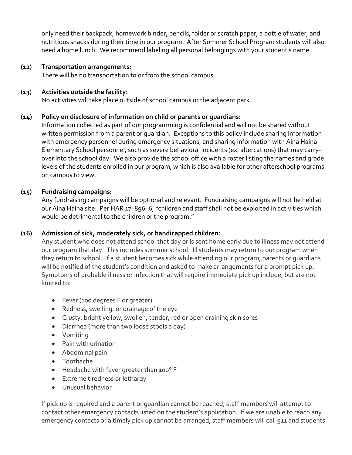only need their backpack, homework binder, pencils, folder or scratch paper, a bottle of water, and nutritious snacks during their time in our program. After Summer School Program students will also need a home lunch. We recommend labeling all personal belongings with your student's name.

# **(12) Transportation arrangements:**

There will be no transportation to or from the school campus.

# **(13) Activities outside the facility:**

No activities will take place outside of school campus or the adjacent park.

# **(14) Policy on disclosure of information on child or parents or guardians:**

Information collected as part of our programming is confidential and will not be shared without written permission from a parent or guardian. Exceptions to this policy include sharing information with emergency personnel during emergency situations, and sharing information with Aina Haina Elementary School personnel, such as severe behavioral incidents (ex. altercations) that may carryover into the school day. We also provide the school office with a roster listing the names and grade levels of the students enrolled in our program, which is also available for other afterschool programs on campus to view.

# **(15) Fundraising campaigns:**

Any fundraising campaigns will be optional and relevant. Fundraising campaigns will not be held at our Aina Haina site. Per HAR 17–896–6, "children and staff shall not be exploited in activities which would be detrimental to the children or the program."

# **(16) Admission of sick, moderately sick, or handicapped children:**

Any student who does not attend school that day or is sent home early due to illness may not attend our program that day. This includes summer school. Ill students may return to our program when they return to school. If a student becomes sick while attending our program, parents or guardians will be notified of the student's condition and asked to make arrangements for a prompt pick up. Symptoms of probable illness or infection that will require immediate pick up include, but are not limited to:

- Fever (100 degrees F or greater)
- Redness, swelling, or drainage of the eye
- Crusty, bright yellow, swollen, tender, red or open draining skin sores
- Diarrhea (more than two loose stools a day)
- Vomiting
- Pain with urination
- Abdominal pain
- Toothache
- Headache with fever greater than 100° F
- Extreme tiredness or lethargy
- Unusual behavior

If pick up is required and a parent or guardian cannot be reached, staff members will attempt to contact other emergency contacts listed on the student's application. If we are unable to reach any emergency contacts or a timely pick up cannot be arranged, staff members will call 911 and students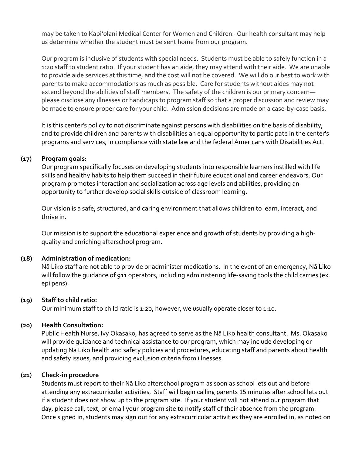may be taken to Kapi'olani Medical Center for Women and Children. Our health consultant may help us determine whether the student must be sent home from our program.

Our program is inclusive of students with special needs. Students must be able to safely function in a 1:20 staff to student ratio. If your student has an aide, they may attend with their aide. We are unable to provide aide services at this time, and the cost will not be covered. We will do our best to work with parents to make accommodations as much as possible. Care for students without aides may not extend beyond the abilities of staff members. The safety of the children is our primary concern please disclose any illnesses or handicaps to program staff so that a proper discussion and review may be made to ensure proper care for your child. Admission decisions are made on a case-by-case basis.

It is this center's policy to not discriminate against persons with disabilities on the basis of disability, and to provide children and parents with disabilities an equal opportunity to participate in the center's programs and services, in compliance with state law and the federal Americans with Disabilities Act.

# **(17) Program goals:**

Our program specifically focuses on developing students into responsible learners instilled with life skills and healthy habits to help them succeed in their future educational and career endeavors. Our program promotes interaction and socialization across age levels and abilities, providing an opportunity to further develop social skills outside of classroom learning.

Our vision is a safe, structured, and caring environment that allows children to learn, interact, and thrive in.

Our mission is to support the educational experience and growth of students by providing a highquality and enriching afterschool program.

#### **(18) Administration of medication:**

Nā Liko staff are not able to provide or administer medications. In the event of an emergency, Nā Liko will follow the guidance of 911 operators, including administering life-saving tools the child carries (ex. epi pens).

# **(19) Staff to child ratio:**

Our minimum staff to child ratio is 1:20, however, we usually operate closer to 1:10.

# **(20) Health Consultation:**

Public Health Nurse, Ivy Okasako, has agreed to serve as the Nā Liko health consultant. Ms. Okasako will provide guidance and technical assistance to our program, which may include developing or updating Nā Liko health and safety policies and procedures, educating staff and parents about health and safety issues, and providing exclusion criteria from illnesses.

#### **(21) Check-in procedure**

Students must report to their Nā Liko afterschool program as soon as school lets out and before attending any extracurricular activities. Staff will begin calling parents 15 minutes after school lets out if a student does not show up to the program site. If your student will not attend our program that day, please call, text, or email your program site to notify staff of their absence from the program. Once signed in, students may sign out for any extracurricular activities they are enrolled in, as noted on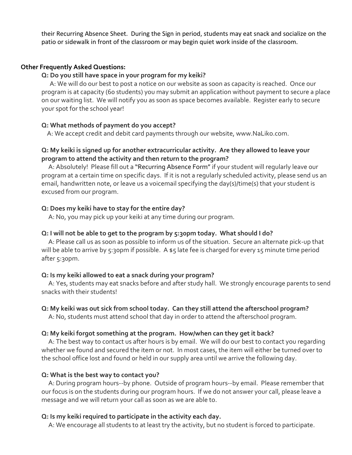their Recurring Absence Sheet. During the Sign in period, students may eat snack and socialize on the patio or sidewalk in front of the classroom or may begin quiet work inside of the classroom.

#### **Other Frequently Asked Questions:**

#### **Q: Do you still have space in your program for my keiki?**

 A: We will do our best to post a notice on our website as soon as capacity is reached. Once our program is at capacity (60 students) you may submit an application without payment to secure a place on our waiting list. We will notify you as soon as space becomes available. Register early to secure your spot for the school year!

#### **Q: What methods of payment do you accept?**

A: We accept credit and debit card payments through our website, www.NaLiko.com.

## **Q: My keiki is signed up for another extracurricular activity. Are they allowed to leave your program to attend the activity and then return to the program?**

 A: Absolutely! Please fill out a "Recurring Absence Form" if your student will regularly leave our program at a certain time on specific days. If it is not a regularly scheduled activity, please send us an email, handwritten note, or leave us a voicemail specifying the day(s)/time(s) that your student is excused from our program.

#### **Q: Does my keiki have to stay for the entire day?**

A: No, you may pick up your keiki at any time during our program.

#### **Q: I will not be able to get to the program by 5:30pm today. What should I do?**

 A: Please call us as soon as possible to inform us of the situation. Secure an alternate pick-up that will be able to arrive by 5:30pm if possible. A \$5 late fee is charged for every 15 minute time period after 5:30pm.

#### **Q: Is my keiki allowed to eat a snack during your program?**

 A: Yes, students may eat snacks before and after study hall. We strongly encourage parents to send snacks with their students!

#### **Q: My keiki was out sick from school today. Can they still attend the afterschool program?**

A: No, students must attend school that day in order to attend the afterschool program.

#### **Q: My keiki forgot something at the program. How/when can they get it back?**

 A: The best way to contact us after hours is by email. We will do our best to contact you regarding whether we found and secured the item or not. In most cases, the item will either be turned over to the school office lost and found or held in our supply area until we arrive the following day.

#### **Q: What is the best way to contact you?**

 A: During program hours--by phone. Outside of program hours--by email. Please remember that our focus is on the students during our program hours. If we do not answer your call, please leave a message and we will return your call as soon as we are able to.

#### **Q: Is my keiki required to participate in the activity each day.**

A: We encourage all students to at least try the activity, but no student is forced to participate.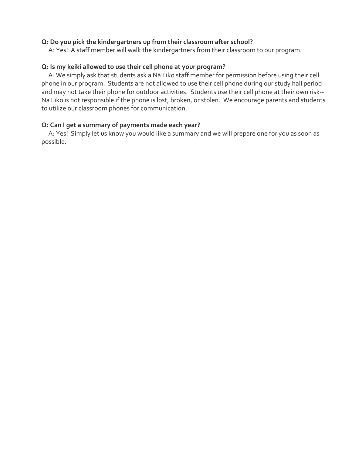## **Q: Do you pick the kindergartners up from their classroom after school?**

A: Yes! A staff member will walk the kindergartners from their classroom to our program.

## **Q: Is my keiki allowed to use their cell phone at your program?**

 A: We simply ask that students ask a Nā Liko staff member for permission before using their cell phone in our program. Students are not allowed to use their cell phone during our study hall period and may not take their phone for outdoor activities. Students use their cell phone at their own risk-- Nā Liko is not responsible if the phone is lost, broken, or stolen. We encourage parents and students to utilize our classroom phones for communication.

# **Q: Can I get a summary of payments made each year?**

 A: Yes! Simply let us know you would like a summary and we will prepare one for you as soon as possible.